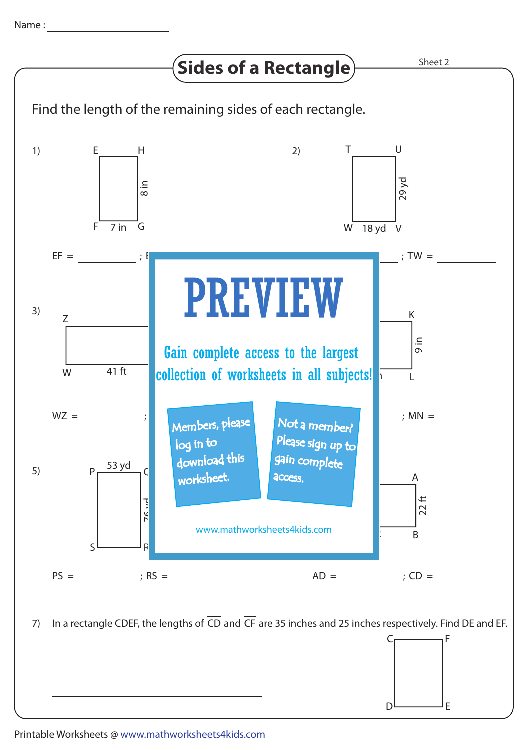